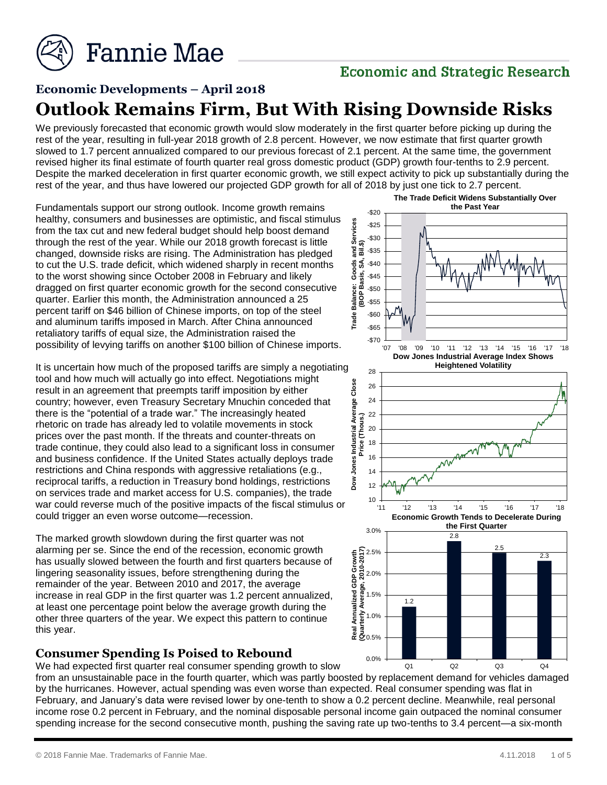

# **Economic and Strategic Research**

# **Economic Developments – April 2018 Outlook Remains Firm, But With Rising Downside Risks**

We previously forecasted that economic growth would slow moderately in the first quarter before picking up during the rest of the year, resulting in full-year 2018 growth of 2.8 percent. However, we now estimate that first quarter growth slowed to 1.7 percent annualized compared to our previous forecast of 2.1 percent. At the same time, the government revised higher its final estimate of fourth quarter real gross domestic product (GDP) growth four-tenths to 2.9 percent. Despite the marked deceleration in first quarter economic growth, we still expect activity to pick up substantially during the rest of the year, and thus have lowered our projected GDP growth for all of 2018 by just one tick to 2.7 percent.

Fundamentals support our strong outlook. Income growth remains healthy, consumers and businesses are optimistic, and fiscal stimulus from the tax cut and new federal budget should help boost demand through the rest of the year. While our 2018 growth forecast is little changed, downside risks are rising. The Administration has pledged to cut the U.S. trade deficit, which widened sharply in recent months to the worst showing since October 2008 in February and likely dragged on first quarter economic growth for the second consecutive quarter. Earlier this month, the Administration announced a 25 percent tariff on \$46 billion of Chinese imports, on top of the steel and aluminum tariffs imposed in March. After China announced retaliatory tariffs of equal size, the Administration raised the possibility of levying tariffs on another \$100 billion of Chinese imports.

It is uncertain how much of the proposed tariffs are simply a negotiating tool and how much will actually go into effect. Negotiations might result in an agreement that preempts tariff imposition by either country; however, even Treasury Secretary Mnuchin conceded that there is the "potential of a trade war." The increasingly heated rhetoric on trade has already led to volatile movements in stock prices over the past month. If the threats and counter-threats on trade continue, they could also lead to a significant loss in consumer and business confidence. If the United States actually deploys trade restrictions and China responds with aggressive retaliations (e.g., reciprocal tariffs, a reduction in Treasury bond holdings, restrictions on services trade and market access for U.S. companies), the trade war could reverse much of the positive impacts of the fiscal stimulus or could trigger an even worse outcome—recession.

The marked growth slowdown during the first quarter was not alarming per se. Since the end of the recession, economic growth has usually slowed between the fourth and first quarters because of lingering seasonality issues, before strengthening during the remainder of the year. Between 2010 and 2017, the average increase in real GDP in the first quarter was 1.2 percent annualized, at least one percentage point below the average growth during the other three quarters of the year. We expect this pattern to continue this year.

#### **Consumer Spending Is Poised to Rebound**

We had expected first quarter real consumer spending growth to slow

from an unsustainable pace in the fourth quarter, which was partly boosted by replacement demand for vehicles damaged by the hurricanes. However, actual spending was even worse than expected. Real consumer spending was flat in February, and January's data were revised lower by one-tenth to show a 0.2 percent decline. Meanwhile, real personal income rose 0.2 percent in February, and the nominal disposable personal income gain outpaced the nominal consumer spending increase for the second consecutive month, pushing the saving rate up two-tenths to 3.4 percent—a six-month

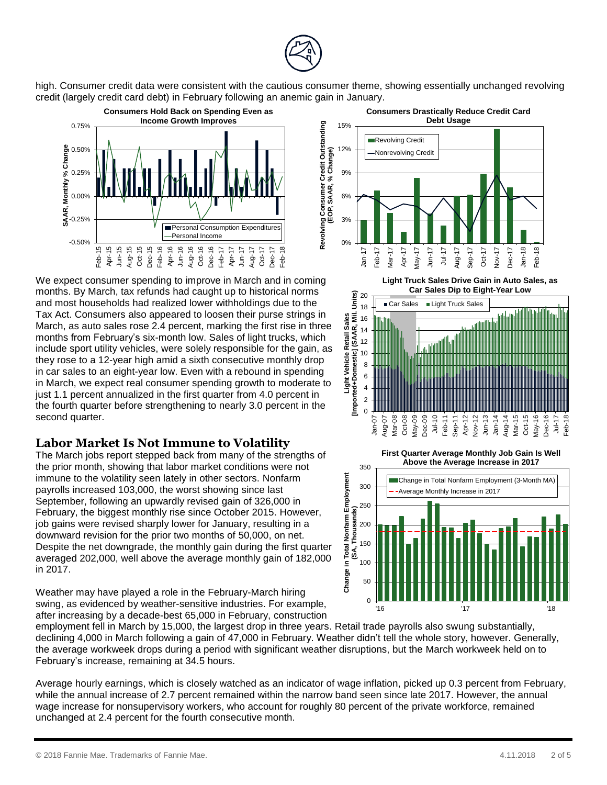

high. Consumer credit data were consistent with the cautious consumer theme, showing essentially unchanged revolving credit (largely credit card debt) in February following an anemic gain in January.



We expect consumer spending to improve in March and in coming months. By March, tax refunds had caught up to historical norms and most households had realized lower withholdings due to the Tax Act. Consumers also appeared to loosen their purse strings in March, as auto sales rose 2.4 percent, marking the first rise in three months from February's six-month low. Sales of light trucks, which include sport utility vehicles, were solely responsible for the gain, as they rose to a 12-year high amid a sixth consecutive monthly drop in car sales to an eight-year low. Even with a rebound in spending in March, we expect real consumer spending growth to moderate to just 1.1 percent annualized in the first quarter from 4.0 percent in the fourth quarter before strengthening to nearly 3.0 percent in the second quarter.

#### **Labor Market Is Not Immune to Volatility**

The March jobs report stepped back from many of the strengths of the prior month, showing that labor market conditions were not immune to the volatility seen lately in other sectors. Nonfarm payrolls increased 103,000, the worst showing since last September, following an upwardly revised gain of 326,000 in February, the biggest monthly rise since October 2015. However, job gains were revised sharply lower for January, resulting in a downward revision for the prior two months of 50,000, on net. Despite the net downgrade, the monthly gain during the first quarter averaged 202,000, well above the average monthly gain of 182,000 in 2017.

Weather may have played a role in the February-March hiring swing, as evidenced by weather-sensitive industries. For example, after increasing by a decade-best 65,000 in February, construction



Average hourly earnings, which is closely watched as an indicator of wage inflation, picked up 0.3 percent from February, while the annual increase of 2.7 percent remained within the narrow band seen since late 2017. However, the annual wage increase for nonsupervisory workers, who account for roughly 80 percent of the private workforce, remained unchanged at 2.4 percent for the fourth consecutive month.



**Light Truck Sales Drive Gain in Auto Sales, as Car Sales Dip to Eight-Year Low**



**First Quarter Average Monthly Job Gain Is Well Above the Average Increase in 2017**

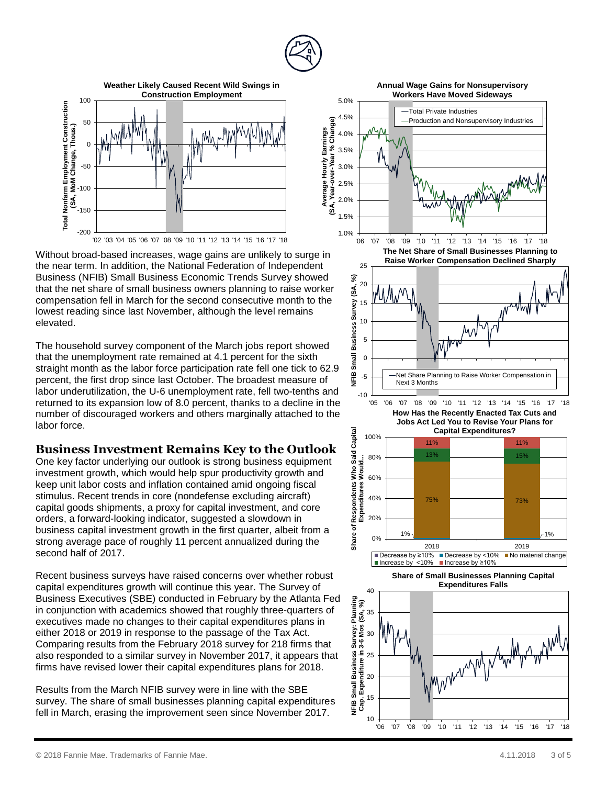



Without broad -based increases, wage gains are unlikely to surge in the near term . In addition, the National Federation of Independent Business (NFIB ) Small Business Economic Trends Survey showed that the net share of small business owners planning to raise worker compensation fell in March for the second consecutive month to the lowest reading since last November, although the level remains elevated.

The household survey component of the March jobs report showed that the unemployment rate remained at 4.1 percent for the sixth straight month as the labor force participation rate fell one tick to 62.9 percent, the first drop since last October. The broadest measure of labor underutilization, the U-6 unemployment rate, fell two-tenths and returned to its expansion low of 8.0 percent, thanks to a decline in the number of discouraged workers and others marginally attached to the labor force.

#### **Business Investment Remains Key to the Outlook**

One key factor underlying our outlook is strong business equipment investment growth , which would help spur productivity growth and keep unit labor costs and inflation contained amid ongoing fiscal stimulus. Recent trends in core (nondefense excluding aircraft) capital goods shipments , a proxy for capital investment, and core orders, a forward -looking indicator, suggested a slowdown in business capital investment growth in the first quarter, albeit from a strong average pace of roughly 11 percent annualized during the second half of 2017.

Recent business surveys have raised concerns over whether robust capital expenditures growth will continue this year . The Survey of Business Executives (SBE) conducted in February by the Atlanta Fed in conju nction with academics showed that roughly three -quarters of executives made no changes to their capital expenditures plans in either 2018 or 2019 in response to the passage of the Tax Act. Comparing results from the February 2018 survey for 218 firms that also responded to a similar survey in November 2017 , it appears that firms have revised lower their capital expenditures plan s for 2018.

Results from the March NFIB survey were in line with the SBE survey. The share of small businesses planning capital expenditure s fell in March, erasing the improvement seen since November 2017.

**Annual Wage Gains for Nonsupervisory** 







**How Has the Recently Enacted Tax Cuts and Jobs Act Led You to Revise Your Plans for Capital Expenditures?**





**Share of Small Businesses Planning Capital Expenditures Falls**

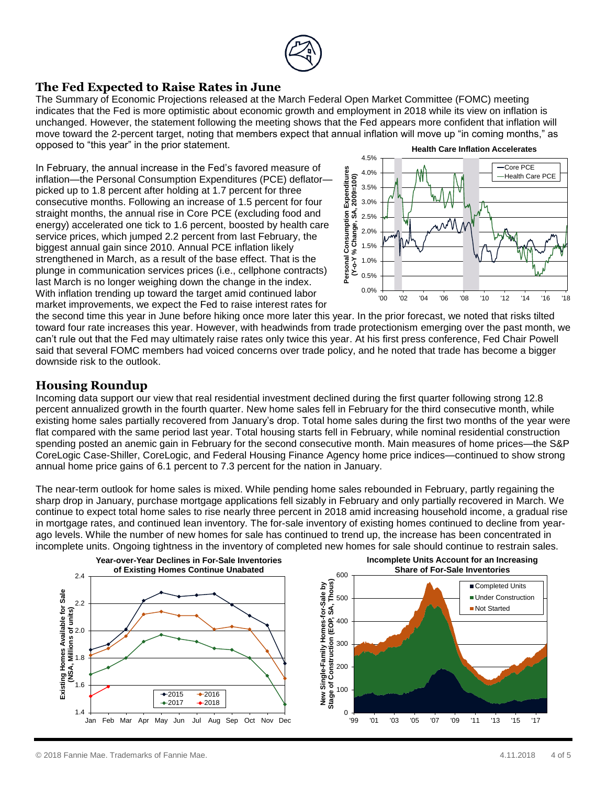

#### **The Fed Expected to Raise Rates in June**

The Summary of Economic Projections released at the March Federal Open Market Committee (FOMC) meeting indicates that the Fed is more optimistic about economic growth and employment in 2018 while its view on inflation is unchanged. However, the statement following the meeting shows that the Fed appears more confident that inflation will move toward the 2-percent target, noting that members expect that annual inflation will move up "in coming months," as opposed to "this year" in the prior statement. **Health Care Inflation Accelerates**

In February, the annual increase in the Fed's favored measure of inflation—the Personal Consumption Expenditures (PCE) deflator picked up to 1.8 percent after holding at 1.7 percent for three consecutive months. Following an increase of 1.5 percent for four straight months, the annual rise in Core PCE (excluding food and energy) accelerated one tick to 1.6 percent, boosted by health care service prices, which jumped 2.2 percent from last February, the biggest annual gain since 2010. Annual PCE inflation likely strengthened in March, as a result of the base effect. That is the plunge in communication services prices (i.e., cellphone contracts) last March is no longer weighing down the change in the index. With inflation trending up toward the target amid continued labor market improvements, we expect the Fed to raise interest rates for



the second time this year in June before hiking once more later this year. In the prior forecast, we noted that risks tilted toward four rate increases this year. However, with headwinds from trade protectionism emerging over the past month, we can't rule out that the Fed may ultimately raise rates only twice this year. At his first press conference, Fed Chair Powell said that several FOMC members had voiced concerns over trade policy, and he noted that trade has become a bigger downside risk to the outlook.

## **Housing Roundup**

Incoming data support our view that real residential investment declined during the first quarter following strong 12.8 percent annualized growth in the fourth quarter. New home sales fell in February for the third consecutive month, while existing home sales partially recovered from January's drop. Total home sales during the first two months of the year were flat compared with the same period last year. Total housing starts fell in February, while nominal residential construction spending posted an anemic gain in February for the second consecutive month. Main measures of home prices—the S&P CoreLogic Case-Shiller, CoreLogic, and Federal Housing Finance Agency home price indices—continued to show strong annual home price gains of 6.1 percent to 7.3 percent for the nation in January.

The near-term outlook for home sales is mixed. While pending home sales rebounded in February, partly regaining the sharp drop in January, purchase mortgage applications fell sizably in February and only partially recovered in March. We continue to expect total home sales to rise nearly three percent in 2018 amid increasing household income, a gradual rise in mortgage rates, and continued lean inventory. The for-sale inventory of existing homes continued to decline from yearago levels. While the number of new homes for sale has continued to trend up, the increase has been concentrated in incomplete units. Ongoing tightness in the inventory of completed new homes for sale should continue to restrain sales.